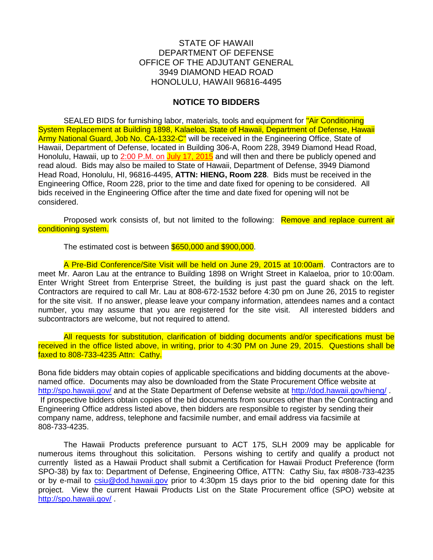## STATE OF HAWAII DEPARTMENT OF DEFENSE OFFICE OF THE ADJUTANT GENERAL 3949 DIAMOND HEAD ROAD HONOLULU, HAWAII 96816-4495

## **NOTICE TO BIDDERS**

SEALED BIDS for furnishing labor, materials, tools and equipment for "Air Conditioning" System Replacement at Building 1898, Kalaeloa, State of Hawaii, Department of Defense, Hawaii Army National Guard, Job No. CA-1332-C" will be received in the Engineering Office, State of Hawaii, Department of Defense, located in Building 306-A, Room 228, 3949 Diamond Head Road, Honolulu, Hawaii, up to 2:00 P.M. on July 17, 2015 and will then and there be publicly opened and read aloud. Bids may also be mailed to State of Hawaii, Department of Defense, 3949 Diamond Head Road, Honolulu, HI, 96816-4495, **ATTN: HIENG, Room 228**. Bids must be received in the Engineering Office, Room 228, prior to the time and date fixed for opening to be considered. All bids received in the Engineering Office after the time and date fixed for opening will not be considered.

Proposed work consists of, but not limited to the following: Remove and replace current air conditioning system.

The estimated cost is between \$650,000 and \$900,000.

A Pre-Bid Conference/Site Visit will be held on June 29, 2015 at 10:00am. Contractors are to meet Mr. Aaron Lau at the entrance to Building 1898 on Wright Street in Kalaeloa, prior to 10:00am. Enter Wright Street from Enterprise Street, the building is just past the guard shack on the left. Contractors are required to call Mr. Lau at 808-672-1532 before 4:30 pm on June 26, 2015 to register for the site visit. If no answer, please leave your company information, attendees names and a contact number, you may assume that you are registered for the site visit. All interested bidders and subcontractors are welcome, but not required to attend.

All requests for substitution, clarification of bidding documents and/or specifications must be received in the office listed above, in writing, prior to 4:30 PM on June 29, 2015. Questions shall be faxed to 808-733-4235 Attn: Cathy.

Bona fide bidders may obtain copies of applicable specifications and bidding documents at the abovenamed office. Documents may also be downloaded from the State Procurement Office website at <http://spo.hawaii.gov/> and at the State Department of Defense website at<http://dod.hawaii.gov/hieng/> If prospective bidders obtain copies of the bid documents from sources other than the Contracting and Engineering Office address listed above, then bidders are responsible to register by sending their company name, address, telephone and facsimile number, and email address via facsimile at 808-733-4235.

The Hawaii Products preference pursuant to ACT 175, SLH 2009 may be applicable for numerous items throughout this solicitation. Persons wishing to certify and qualify a product not currently listed as a Hawaii Product shall submit a Certification for Hawaii Product Preference (form SPO-38) by fax to: Department of Defense, Engineering Office, ATTN: Cathy Siu, fax #808-733-4235 or by e-mail to [csiu@dod.hawaii.gov](mailto:csiu@dod.hawaii.gov) prior to 4:30pm 15 days prior to the bid opening date for this project. View the current Hawaii Products List on the State Procurement office (SPO) website at <http://spo.hawaii.gov/> .